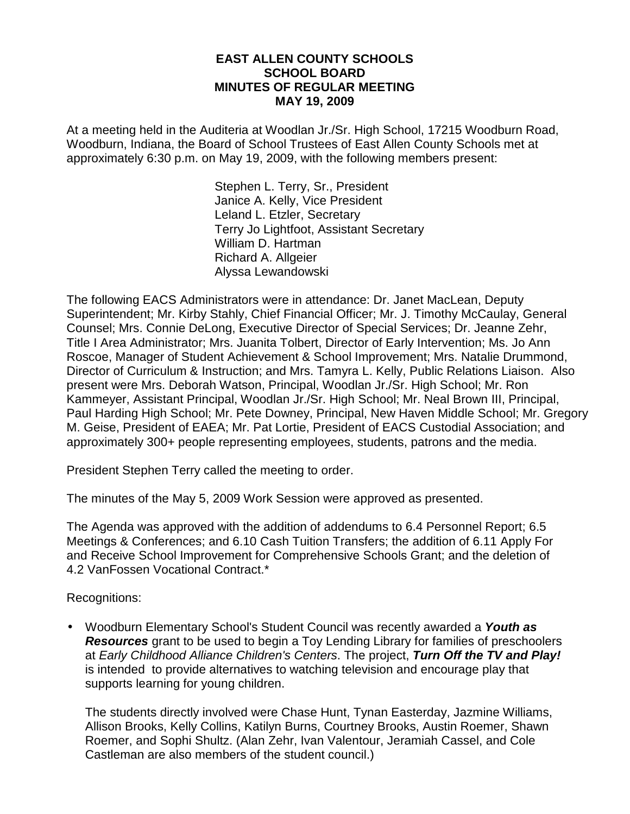### **EAST ALLEN COUNTY SCHOOLS SCHOOL BOARD MINUTES OF REGULAR MEETING MAY 19, 2009**

At a meeting held in the Auditeria at Woodlan Jr./Sr. High School, 17215 Woodburn Road, Woodburn, Indiana, the Board of School Trustees of East Allen County Schools met at approximately 6:30 p.m. on May 19, 2009, with the following members present:

> Stephen L. Terry, Sr., President Janice A. Kelly, Vice President Leland L. Etzler, Secretary Terry Jo Lightfoot, Assistant Secretary William D. Hartman Richard A. Allgeier Alyssa Lewandowski

The following EACS Administrators were in attendance: Dr. Janet MacLean, Deputy Superintendent; Mr. Kirby Stahly, Chief Financial Officer; Mr. J. Timothy McCaulay, General Counsel; Mrs. Connie DeLong, Executive Director of Special Services; Dr. Jeanne Zehr, Title I Area Administrator; Mrs. Juanita Tolbert, Director of Early Intervention; Ms. Jo Ann Roscoe, Manager of Student Achievement & School Improvement; Mrs. Natalie Drummond, Director of Curriculum & Instruction; and Mrs. Tamyra L. Kelly, Public Relations Liaison. Also present were Mrs. Deborah Watson, Principal, Woodlan Jr./Sr. High School; Mr. Ron Kammeyer, Assistant Principal, Woodlan Jr./Sr. High School; Mr. Neal Brown III, Principal, Paul Harding High School; Mr. Pete Downey, Principal, New Haven Middle School; Mr. Gregory M. Geise, President of EAEA; Mr. Pat Lortie, President of EACS Custodial Association; and approximately 300+ people representing employees, students, patrons and the media.

President Stephen Terry called the meeting to order.

The minutes of the May 5, 2009 Work Session were approved as presented.

The Agenda was approved with the addition of addendums to 6.4 Personnel Report; 6.5 Meetings & Conferences; and 6.10 Cash Tuition Transfers; the addition of 6.11 Apply For and Receive School Improvement for Comprehensive Schools Grant; and the deletion of 4.2 VanFossen Vocational Contract.\*

Recognitions:

• Woodburn Elementary School's Student Council was recently awarded a **Youth as Resources** grant to be used to begin a Toy Lending Library for families of preschoolers at Early Childhood Alliance Children's Centers. The project, **Turn Off the TV and Play!** is intended to provide alternatives to watching television and encourage play that supports learning for young children.

The students directly involved were Chase Hunt, Tynan Easterday, Jazmine Williams, Allison Brooks, Kelly Collins, Katilyn Burns, Courtney Brooks, Austin Roemer, Shawn Roemer, and Sophi Shultz. (Alan Zehr, Ivan Valentour, Jeramiah Cassel, and Cole Castleman are also members of the student council.)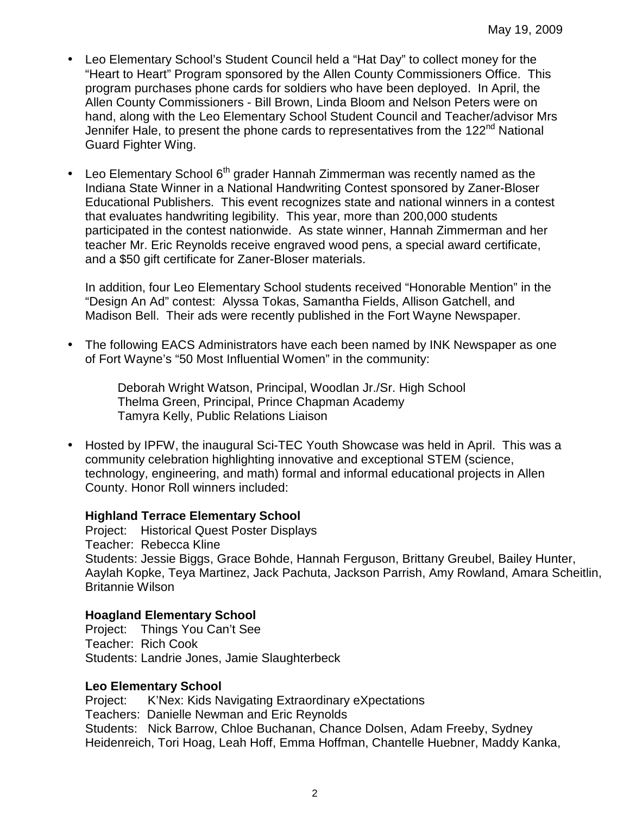- Leo Elementary School's Student Council held a "Hat Day" to collect money for the "Heart to Heart" Program sponsored by the Allen County Commissioners Office. This program purchases phone cards for soldiers who have been deployed. In April, the Allen County Commissioners - Bill Brown, Linda Bloom and Nelson Peters were on hand, along with the Leo Elementary School Student Council and Teacher/advisor Mrs Jennifer Hale, to present the phone cards to representatives from the 122<sup>nd</sup> National Guard Fighter Wing.
- Leo Elementary School  $6<sup>th</sup>$  grader Hannah Zimmerman was recently named as the Indiana State Winner in a National Handwriting Contest sponsored by Zaner-Bloser Educational Publishers. This event recognizes state and national winners in a contest that evaluates handwriting legibility. This year, more than 200,000 students participated in the contest nationwide. As state winner, Hannah Zimmerman and her teacher Mr. Eric Reynolds receive engraved wood pens, a special award certificate, and a \$50 gift certificate for Zaner-Bloser materials.

In addition, four Leo Elementary School students received "Honorable Mention" in the "Design An Ad" contest: Alyssa Tokas, Samantha Fields, Allison Gatchell, and Madison Bell. Their ads were recently published in the Fort Wayne Newspaper.

• The following EACS Administrators have each been named by INK Newspaper as one of Fort Wayne's "50 Most Influential Women" in the community:

> Deborah Wright Watson, Principal, Woodlan Jr./Sr. High School Thelma Green, Principal, Prince Chapman Academy Tamyra Kelly, Public Relations Liaison

• Hosted by IPFW, the inaugural Sci-TEC Youth Showcase was held in April. This was a community celebration highlighting innovative and exceptional STEM (science, technology, engineering, and math) formal and informal educational projects in Allen County. Honor Roll winners included:

## **Highland Terrace Elementary School**

Project: Historical Quest Poster Displays Teacher: Rebecca Kline Students: Jessie Biggs, Grace Bohde, Hannah Ferguson, Brittany Greubel, Bailey Hunter, Aaylah Kopke, Teya Martinez, Jack Pachuta, Jackson Parrish, Amy Rowland, Amara Scheitlin, Britannie Wilson

## **Hoagland Elementary School**

Project: Things You Can't See Teacher: Rich Cook Students: Landrie Jones, Jamie Slaughterbeck

#### **Leo Elementary School**

Project: K'Nex: Kids Navigating Extraordinary eXpectations Teachers: Danielle Newman and Eric Reynolds Students: Nick Barrow, Chloe Buchanan, Chance Dolsen, Adam Freeby, Sydney Heidenreich, Tori Hoag, Leah Hoff, Emma Hoffman, Chantelle Huebner, Maddy Kanka,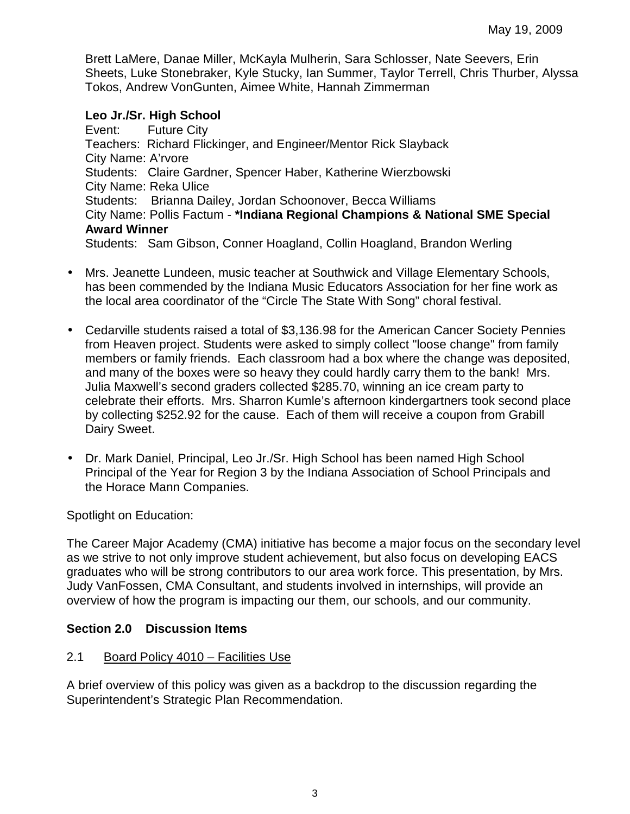Brett LaMere, Danae Miller, McKayla Mulherin, Sara Schlosser, Nate Seevers, Erin Sheets, Luke Stonebraker, Kyle Stucky, Ian Summer, Taylor Terrell, Chris Thurber, Alyssa Tokos, Andrew VonGunten, Aimee White, Hannah Zimmerman

### **Leo Jr./Sr. High School**

Event: Future City Teachers: Richard Flickinger, and Engineer/Mentor Rick Slayback City Name: A'rvore Students: Claire Gardner, Spencer Haber, Katherine Wierzbowski City Name: Reka Ulice Students: Brianna Dailey, Jordan Schoonover, Becca Williams City Name: Pollis Factum - **\*Indiana Regional Champions & National SME Special Award Winner**  Students: Sam Gibson, Conner Hoagland, Collin Hoagland, Brandon Werling

- Mrs. Jeanette Lundeen, music teacher at Southwick and Village Elementary Schools,
- has been commended by the Indiana Music Educators Association for her fine work as the local area coordinator of the "Circle The State With Song" choral festival.
- Cedarville students raised a total of \$3,136.98 for the American Cancer Society Pennies from Heaven project. Students were asked to simply collect "loose change" from family members or family friends. Each classroom had a box where the change was deposited, and many of the boxes were so heavy they could hardly carry them to the bank! Mrs. Julia Maxwell's second graders collected \$285.70, winning an ice cream party to celebrate their efforts. Mrs. Sharron Kumle's afternoon kindergartners took second place by collecting \$252.92 for the cause. Each of them will receive a coupon from Grabill Dairy Sweet.
- Dr. Mark Daniel, Principal, Leo Jr./Sr. High School has been named High School Principal of the Year for Region 3 by the Indiana Association of School Principals and the Horace Mann Companies.

Spotlight on Education:

The Career Major Academy (CMA) initiative has become a major focus on the secondary level as we strive to not only improve student achievement, but also focus on developing EACS graduates who will be strong contributors to our area work force. This presentation, by Mrs. Judy VanFossen, CMA Consultant, and students involved in internships, will provide an overview of how the program is impacting our them, our schools, and our community.

## **Section 2.0 Discussion Items**

## 2.1 Board Policy 4010 – Facilities Use

A brief overview of this policy was given as a backdrop to the discussion regarding the Superintendent's Strategic Plan Recommendation.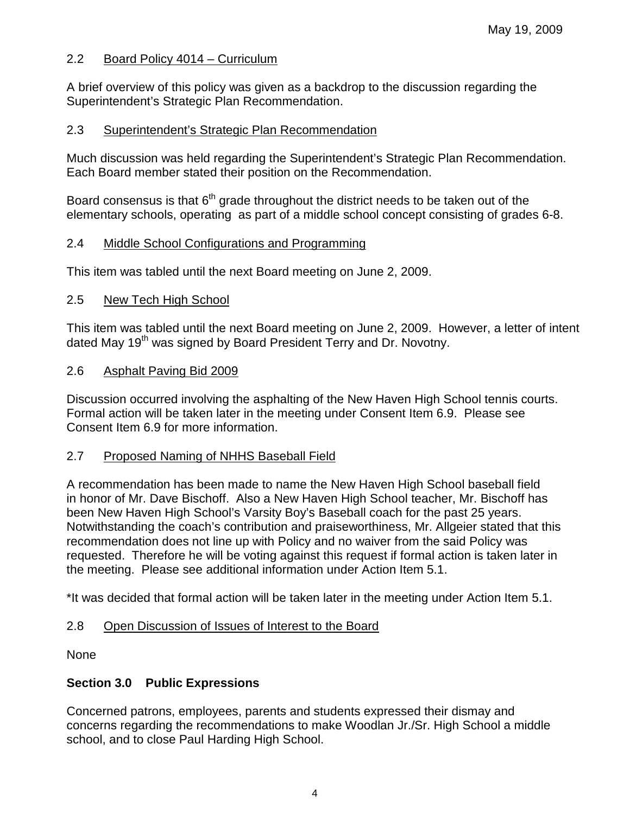## 2.2 Board Policy 4014 – Curriculum

A brief overview of this policy was given as a backdrop to the discussion regarding the Superintendent's Strategic Plan Recommendation.

### 2.3 Superintendent's Strategic Plan Recommendation

Much discussion was held regarding the Superintendent's Strategic Plan Recommendation. Each Board member stated their position on the Recommendation.

Board consensus is that  $6<sup>th</sup>$  grade throughout the district needs to be taken out of the elementary schools, operating as part of a middle school concept consisting of grades 6-8.

### 2.4 Middle School Configurations and Programming

This item was tabled until the next Board meeting on June 2, 2009.

### 2.5 New Tech High School

This item was tabled until the next Board meeting on June 2, 2009. However, a letter of intent dated May 19<sup>th</sup> was signed by Board President Terry and Dr. Novotny.

### 2.6 Asphalt Paving Bid 2009

Discussion occurred involving the asphalting of the New Haven High School tennis courts. Formal action will be taken later in the meeting under Consent Item 6.9. Please see Consent Item 6.9 for more information.

#### 2.7 Proposed Naming of NHHS Baseball Field

A recommendation has been made to name the New Haven High School baseball field in honor of Mr. Dave Bischoff. Also a New Haven High School teacher, Mr. Bischoff has been New Haven High School's Varsity Boy's Baseball coach for the past 25 years. Notwithstanding the coach's contribution and praiseworthiness, Mr. Allgeier stated that this recommendation does not line up with Policy and no waiver from the said Policy was requested. Therefore he will be voting against this request if formal action is taken later in the meeting. Please see additional information under Action Item 5.1.

\*It was decided that formal action will be taken later in the meeting under Action Item 5.1.

## 2.8 Open Discussion of Issues of Interest to the Board

None

## **Section 3.0 Public Expressions**

Concerned patrons, employees, parents and students expressed their dismay and concerns regarding the recommendations to make Woodlan Jr./Sr. High School a middle school, and to close Paul Harding High School.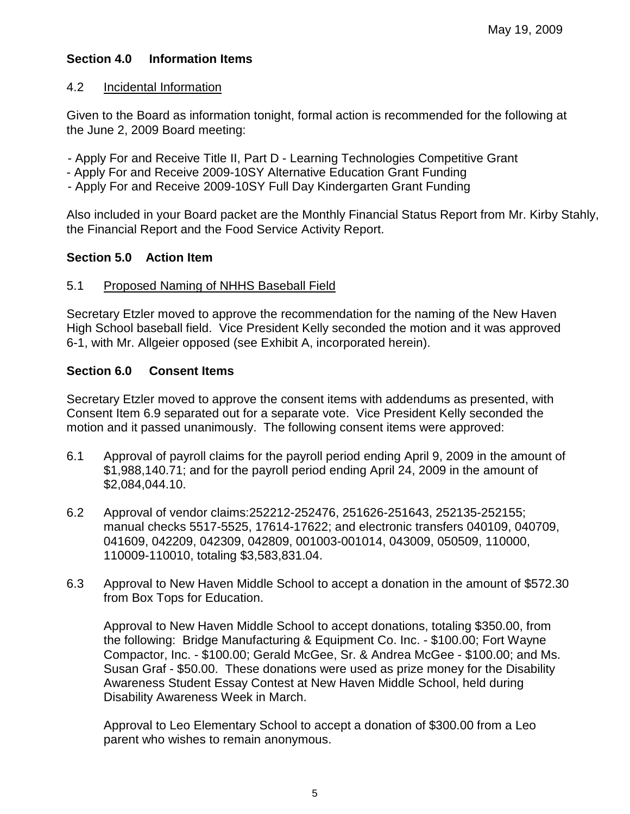# **Section 4.0 Information Items**

### 4.2 Incidental Information

Given to the Board as information tonight, formal action is recommended for the following at the June 2, 2009 Board meeting:

- Apply For and Receive Title II, Part D Learning Technologies Competitive Grant
- Apply For and Receive 2009-10SY Alternative Education Grant Funding
- Apply For and Receive 2009-10SY Full Day Kindergarten Grant Funding

Also included in your Board packet are the Monthly Financial Status Report from Mr. Kirby Stahly, the Financial Report and the Food Service Activity Report.

## **Section 5.0 Action Item**

## 5.1 Proposed Naming of NHHS Baseball Field

Secretary Etzler moved to approve the recommendation for the naming of the New Haven High School baseball field. Vice President Kelly seconded the motion and it was approved 6-1, with Mr. Allgeier opposed (see Exhibit A, incorporated herein).

## **Section 6.0 Consent Items**

Secretary Etzler moved to approve the consent items with addendums as presented, with Consent Item 6.9 separated out for a separate vote. Vice President Kelly seconded the motion and it passed unanimously. The following consent items were approved:

- 6.1 Approval of payroll claims for the payroll period ending April 9, 2009 in the amount of \$1,988,140.71; and for the payroll period ending April 24, 2009 in the amount of \$2,084,044.10.
- 6.2 Approval of vendor claims:252212-252476, 251626-251643, 252135-252155; manual checks 5517-5525, 17614-17622; and electronic transfers 040109, 040709, 041609, 042209, 042309, 042809, 001003-001014, 043009, 050509, 110000, 110009-110010, totaling \$3,583,831.04.
- 6.3 Approval to New Haven Middle School to accept a donation in the amount of \$572.30 from Box Tops for Education.

Approval to New Haven Middle School to accept donations, totaling \$350.00, from the following: Bridge Manufacturing & Equipment Co. Inc. - \$100.00; Fort Wayne Compactor, Inc. - \$100.00; Gerald McGee, Sr. & Andrea McGee - \$100.00; and Ms. Susan Graf - \$50.00. These donations were used as prize money for the Disability Awareness Student Essay Contest at New Haven Middle School, held during Disability Awareness Week in March.

Approval to Leo Elementary School to accept a donation of \$300.00 from a Leo parent who wishes to remain anonymous.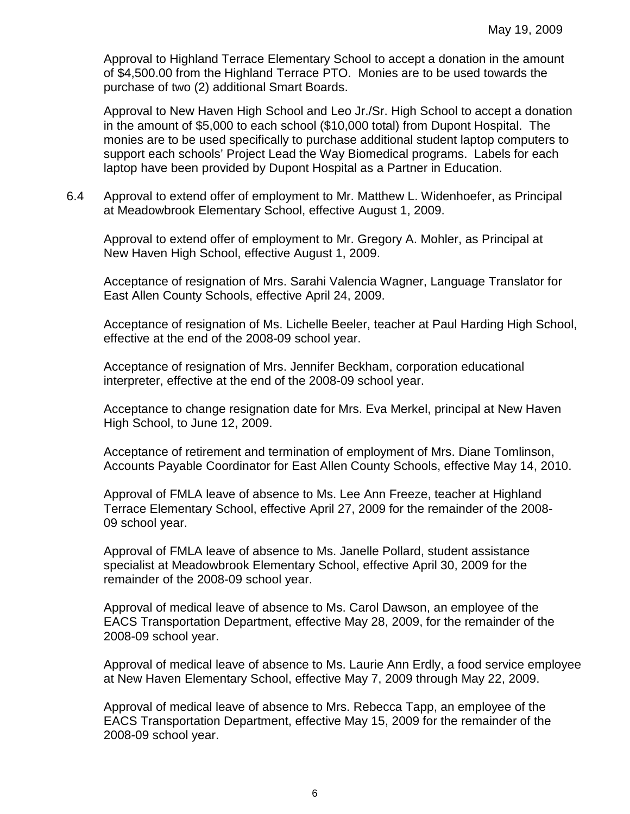Approval to Highland Terrace Elementary School to accept a donation in the amount of \$4,500.00 from the Highland Terrace PTO. Monies are to be used towards the purchase of two (2) additional Smart Boards.

Approval to New Haven High School and Leo Jr./Sr. High School to accept a donation in the amount of \$5,000 to each school (\$10,000 total) from Dupont Hospital. The monies are to be used specifically to purchase additional student laptop computers to support each schools' Project Lead the Way Biomedical programs. Labels for each laptop have been provided by Dupont Hospital as a Partner in Education.

6.4 Approval to extend offer of employment to Mr. Matthew L. Widenhoefer, as Principal at Meadowbrook Elementary School, effective August 1, 2009.

Approval to extend offer of employment to Mr. Gregory A. Mohler, as Principal at New Haven High School, effective August 1, 2009.

 Acceptance of resignation of Mrs. Sarahi Valencia Wagner, Language Translator for East Allen County Schools, effective April 24, 2009.

Acceptance of resignation of Ms. Lichelle Beeler, teacher at Paul Harding High School, effective at the end of the 2008-09 school year.

Acceptance of resignation of Mrs. Jennifer Beckham, corporation educational interpreter, effective at the end of the 2008-09 school year.

Acceptance to change resignation date for Mrs. Eva Merkel, principal at New Haven High School, to June 12, 2009.

 Acceptance of retirement and termination of employment of Mrs. Diane Tomlinson, Accounts Payable Coordinator for East Allen County Schools, effective May 14, 2010.

 Approval of FMLA leave of absence to Ms. Lee Ann Freeze, teacher at Highland Terrace Elementary School, effective April 27, 2009 for the remainder of the 2008- 09 school year.

Approval of FMLA leave of absence to Ms. Janelle Pollard, student assistance specialist at Meadowbrook Elementary School, effective April 30, 2009 for the remainder of the 2008-09 school year.

Approval of medical leave of absence to Ms. Carol Dawson, an employee of the EACS Transportation Department, effective May 28, 2009, for the remainder of the 2008-09 school year.

Approval of medical leave of absence to Ms. Laurie Ann Erdly, a food service employee at New Haven Elementary School, effective May 7, 2009 through May 22, 2009.

Approval of medical leave of absence to Mrs. Rebecca Tapp, an employee of the EACS Transportation Department, effective May 15, 2009 for the remainder of the 2008-09 school year.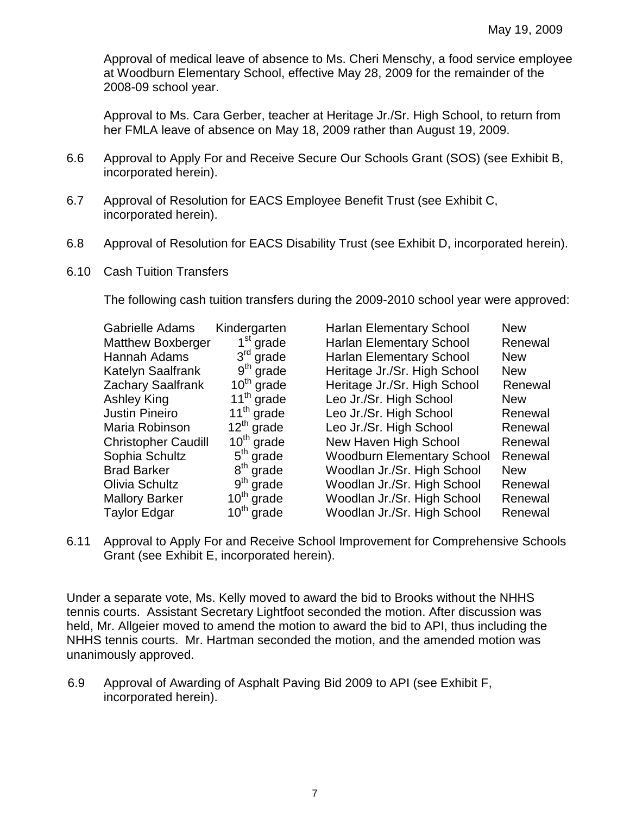Approval of medical leave of absence to Ms. Cheri Menschy, a food service employee at Woodburn Elementary School, effective May 28, 2009 for the remainder of the 2008-09 school year.

Approval to Ms. Cara Gerber, teacher at Heritage Jr./Sr. High School, to return from her FMLA leave of absence on May 18, 2009 rather than August 19, 2009.

- 6.6 Approval to Apply For and Receive Secure Our Schools Grant (SOS) (see Exhibit B, incorporated herein).
- 6.7 Approval of Resolution for EACS Employee Benefit Trust (see Exhibit C, incorporated herein).
- 6.8 Approval of Resolution for EACS Disability Trust (see Exhibit D, incorporated herein).
- 6.10 Cash Tuition Transfers

The following cash tuition transfers during the 2009-2010 school year were approved:

| Gabrielle Adams            | Kindergarten | <b>Harlan Elementary School</b>   | <b>New</b> |
|----------------------------|--------------|-----------------------------------|------------|
| <b>Matthew Boxberger</b>   | $1st$ grade  | <b>Harlan Elementary School</b>   | Renewal    |
| Hannah Adams               | $3rd$ grade  | <b>Harlan Elementary School</b>   | <b>New</b> |
| Katelyn Saalfrank          | $9th$ grade  | Heritage Jr./Sr. High School      | <b>New</b> |
| Zachary Saalfrank          | $10th$ grade | Heritage Jr./Sr. High School      | Renewal    |
| Ashley King                | $11th$ grade | Leo Jr./Sr. High School           | <b>New</b> |
| <b>Justin Pineiro</b>      | $11th$ grade | Leo Jr./Sr. High School           | Renewal    |
| Maria Robinson             | $12th$ grade | Leo Jr./Sr. High School           | Renewal    |
| <b>Christopher Caudill</b> | $10th$ grade | New Haven High School             | Renewal    |
| Sophia Schultz             | $5th$ grade  | <b>Woodburn Elementary School</b> | Renewal    |
| <b>Brad Barker</b>         | $8th$ grade  | Woodlan Jr./Sr. High School       | <b>New</b> |
| Olivia Schultz             | $9th$ grade  | Woodlan Jr./Sr. High School       | Renewal    |
| <b>Mallory Barker</b>      | $10th$ grade | Woodlan Jr./Sr. High School       | Renewal    |
| Taylor Edgar               | $10th$ grade | Woodlan Jr./Sr. High School       | Renewal    |

6.11 Approval to Apply For and Receive School Improvement for Comprehensive Schools Grant (see Exhibit E, incorporated herein).

Under a separate vote, Ms. Kelly moved to award the bid to Brooks without the NHHS tennis courts. Assistant Secretary Lightfoot seconded the motion. After discussion was held, Mr. Allgeier moved to amend the motion to award the bid to API, thus including the NHHS tennis courts. Mr. Hartman seconded the motion, and the amended motion was unanimously approved.

6.9 Approval of Awarding of Asphalt Paving Bid 2009 to API (see Exhibit F, incorporated herein).